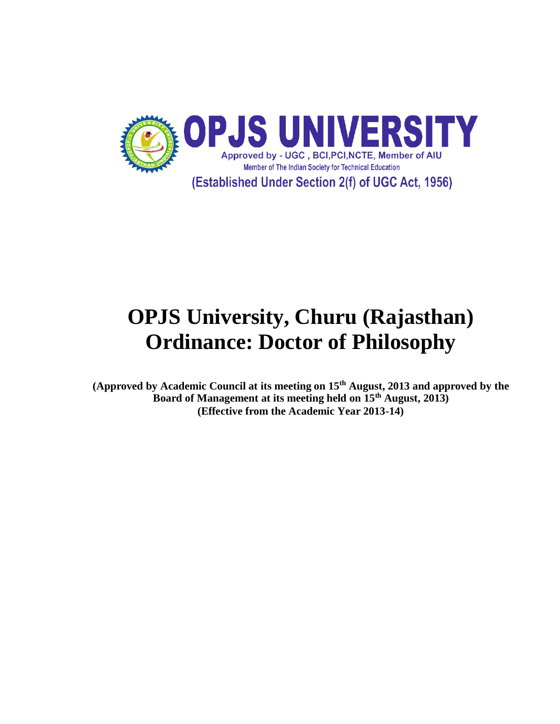

# **OPJS University, Churu (Rajasthan) Ordinance: Doctor of Philosophy**

**(Approved by Academic Council at its meeting on 15th August, 2013 and approved by the Board of Management at its meeting held on 15th August, 2013) (Effective from the Academic Year 2013-14)**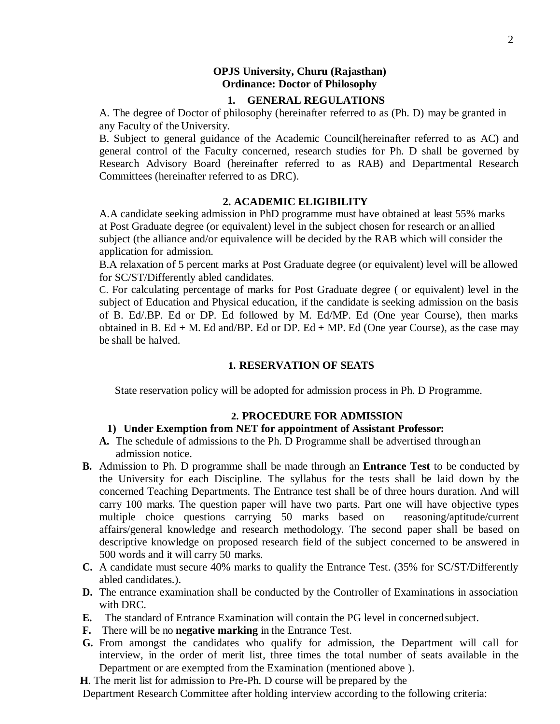## **OPJS University, Churu (Rajasthan) Ordinance: Doctor of Philosophy**

## **1. GENERAL REGULATIONS**

A. The degree of Doctor of philosophy (hereinafter referred to as (Ph. D) may be granted in any Faculty of the University.

B. Subject to general guidance of the Academic Council(hereinafter referred to as AC) and general control of the Faculty concerned, research studies for Ph. D shall be governed by Research Advisory Board (hereinafter referred to as RAB) and Departmental Research Committees (hereinafter referred to as DRC).

## **2. ACADEMIC ELIGIBILITY**

A.A candidate seeking admission in PhD programme must have obtained at least 55% marks at Post Graduate degree (or equivalent) level in the subject chosen for research or an allied subject (the alliance and/or equivalence will be decided by the RAB which will consider the application for admission.

B.A relaxation of 5 percent marks at Post Graduate degree (or equivalent) level will be allowed for SC/ST/Differently abled candidates.

C. For calculating percentage of marks for Post Graduate degree ( or equivalent) level in the subject of Education and Physical education, if the candidate is seeking admission on the basis of B. Ed/.BP. Ed or DP. Ed followed by M. Ed/MP. Ed (One year Course), then marks obtained in B. Ed + M. Ed and/BP. Ed or DP. Ed + MP. Ed (One year Course), as the case may be shall be halved.

## **1. RESERVATION OF SEATS**

State reservation policy will be adopted for admission process in Ph. D Programme.

#### **2. PROCEDURE FOR ADMISSION**

## **1) Under Exemption from NET for appointment of Assistant Professor:**

- **A.** The schedule of admissions to the Ph. D Programme shall be advertised throughan admission notice.
- **B.** Admission to Ph. D programme shall be made through an **Entrance Test** to be conducted by the University for each Discipline. The syllabus for the tests shall be laid down by the concerned Teaching Departments. The Entrance test shall be of three hours duration. And will carry 100 marks. The question paper will have two parts. Part one will have objective types multiple choice questions carrying 50 marks based on reasoning/aptitude/current affairs/general knowledge and research methodology. The second paper shall be based on descriptive knowledge on proposed research field of the subject concerned to be answered in 500 words and it will carry 50 marks.
- **C.** A candidate must secure 40% marks to qualify the Entrance Test. (35% for SC/ST/Differently abled candidates.).
- **D.** The entrance examination shall be conducted by the Controller of Examinations in association with DRC.
- **E.** The standard of Entrance Examination will contain the PG level in concernedsubject.
- **F.** There will be no **negative marking** in the Entrance Test.
- **G.** From amongst the candidates who qualify for admission, the Department will call for interview, in the order of merit list, three times the total number of seats available in the Department or are exempted from the Examination (mentioned above ).
- **H**. The merit list for admission to Pre-Ph. D course will be prepared by the

Department Research Committee after holding interview according to the following criteria: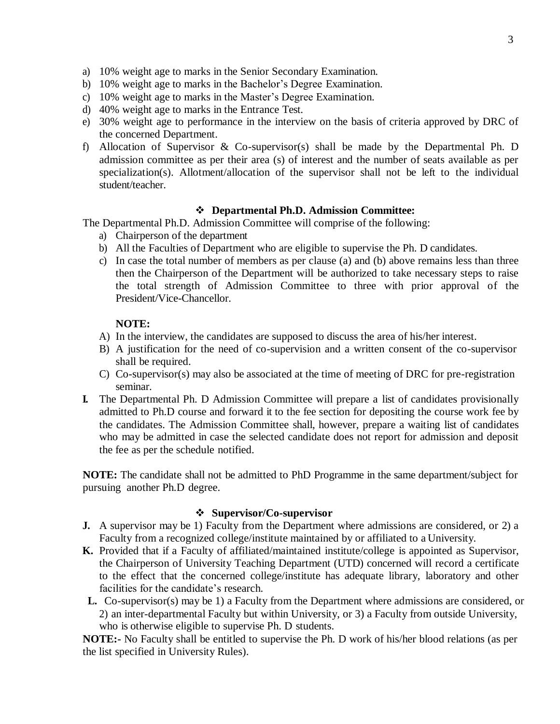- a) 10% weight age to marks in the Senior Secondary Examination.
- b) 10% weight age to marks in the Bachelor's Degree Examination.
- c) 10% weight age to marks in the Master's Degree Examination.
- d) 40% weight age to marks in the Entrance Test.
- e) 30% weight age to performance in the interview on the basis of criteria approved by DRC of the concerned Department.
- f) Allocation of Supervisor & Co-supervisor(s) shall be made by the Departmental Ph. D admission committee as per their area (s) of interest and the number of seats available as per specialization(s). Allotment/allocation of the supervisor shall not be left to the individual student/teacher.

## **Departmental Ph.D. Admission Committee:**

The Departmental Ph.D. Admission Committee will comprise of the following:

- a) Chairperson of the department
- b) All the Faculties of Department who are eligible to supervise the Ph. D candidates.
- c) In case the total number of members as per clause (a) and (b) above remains less than three then the Chairperson of the Department will be authorized to take necessary steps to raise the total strength of Admission Committee to three with prior approval of the President/Vice-Chancellor.

## **NOTE:**

- A) In the interview, the candidates are supposed to discuss the area of his/her interest.
- B) A justification for the need of co-supervision and a written consent of the co-supervisor shall be required.
- C) Co-supervisor(s) may also be associated at the time of meeting of DRC for pre-registration seminar.
- **I.** The Departmental Ph. D Admission Committee will prepare a list of candidates provisionally admitted to Ph.D course and forward it to the fee section for depositing the course work fee by the candidates. The Admission Committee shall, however, prepare a waiting list of candidates who may be admitted in case the selected candidate does not report for admission and deposit the fee as per the schedule notified.

**NOTE:** The candidate shall not be admitted to PhD Programme in the same department/subject for pursuing another Ph.D degree.

## **Supervisor/Co-supervisor**

- **J.** A supervisor may be 1) Faculty from the Department where admissions are considered, or 2) a Faculty from a recognized college/institute maintained by or affiliated to a University.
- **K.** Provided that if a Faculty of affiliated/maintained institute/college is appointed as Supervisor, the Chairperson of University Teaching Department (UTD) concerned will record a certificate to the effect that the concerned college/institute has adequate library, laboratory and other facilities for the candidate's research.
- **L.** Co-supervisor(s) may be 1) a Faculty from the Department where admissions are considered, or 2) an inter-departmental Faculty but within University, or 3) a Faculty from outside University, who is otherwise eligible to supervise Ph. D students.

**NOTE:-** No Faculty shall be entitled to supervise the Ph. D work of his/her blood relations (as per the list specified in University Rules).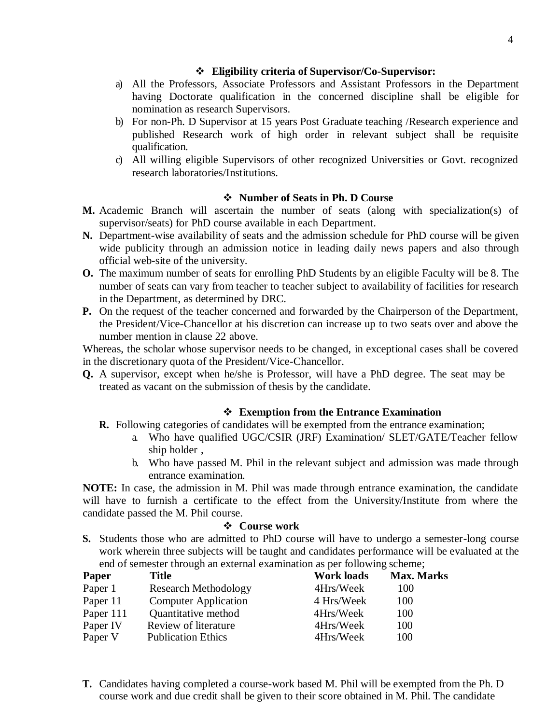# **Eligibility criteria of Supervisor/Co-Supervisor:**

- a) All the Professors, Associate Professors and Assistant Professors in the Department having Doctorate qualification in the concerned discipline shall be eligible for nomination as research Supervisors.
- b) For non-Ph. D Supervisor at 15 years Post Graduate teaching /Research experience and published Research work of high order in relevant subject shall be requisite qualification.
- c) All willing eligible Supervisors of other recognized Universities or Govt. recognized research laboratories/Institutions.

# **Number of Seats in Ph. D Course**

- **M.** Academic Branch will ascertain the number of seats (along with specialization(s) of supervisor/seats) for PhD course available in each Department.
- **N.** Department-wise availability of seats and the admission schedule for PhD course will be given wide publicity through an admission notice in leading daily news papers and also through official web-site of the university.
- **O.** The maximum number of seats for enrolling PhD Students by an eligible Faculty will be 8. The number of seats can vary from teacher to teacher subject to availability of facilities for research in the Department, as determined by DRC.
- **P.** On the request of the teacher concerned and forwarded by the Chairperson of the Department, the President/Vice-Chancellor at his discretion can increase up to two seats over and above the number mention in clause 22 above.

Whereas, the scholar whose supervisor needs to be changed, in exceptional cases shall be covered in the discretionary quota of the President/Vice-Chancellor.

**Q.** A supervisor, except when he/she is Professor, will have a PhD degree. The seat may be treated as vacant on the submission of thesis by the candidate.

# **Exemption from the Entrance Examination**

- **R.** Following categories of candidates will be exempted from the entrance examination;
	- a. Who have qualified UGC/CSIR (JRF) Examination/ SLET/GATE/Teacher fellow ship holder ,
	- b. Who have passed M. Phil in the relevant subject and admission was made through entrance examination.

**NOTE:** In case, the admission in M. Phil was made through entrance examination, the candidate will have to furnish a certificate to the effect from the University/Institute from where the candidate passed the M. Phil course.

## **Course work**

**S.** Students those who are admitted to PhD course will have to undergo a semester-long course work wherein three subjects will be taught and candidates performance will be evaluated at the end of semester through an external examination as per following scheme;

| Paper     | <b>Title</b>                | <b>Work loads</b> | <b>Max. Marks</b> |
|-----------|-----------------------------|-------------------|-------------------|
| Paper 1   | <b>Research Methodology</b> | 4Hrs/Week         | 100               |
| Paper 11  | <b>Computer Application</b> | 4 Hrs/Week        | 100               |
| Paper 111 | Quantitative method         | 4Hrs/Week         | 100               |
| Paper IV  | Review of literature        | 4Hrs/Week         | 100               |
| Paper V   | <b>Publication Ethics</b>   | 4Hrs/Week         | 100               |

**T.** Candidates having completed a course-work based M. Phil will be exempted from the Ph. D course work and due credit shall be given to their score obtained in M. Phil. The candidate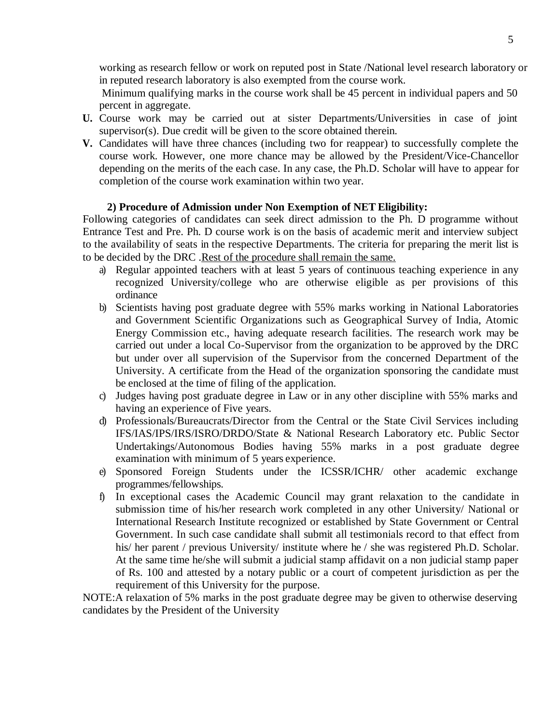working as research fellow or work on reputed post in State /National level research laboratory or in reputed research laboratory is also exempted from the course work.

Minimum qualifying marks in the course work shall be 45 percent in individual papers and 50 percent in aggregate.

- **U.** Course work may be carried out at sister Departments/Universities in case of joint supervisor(s). Due credit will be given to the score obtained therein.
- **V.** Candidates will have three chances (including two for reappear) to successfully complete the course work. However, one more chance may be allowed by the President/Vice-Chancellor depending on the merits of the each case. In any case, the Ph.D. Scholar will have to appear for completion of the course work examination within two year.

## **2) Procedure of Admission under Non Exemption of NET Eligibility:**

Following categories of candidates can seek direct admission to the Ph. D programme without Entrance Test and Pre. Ph. D course work is on the basis of academic merit and interview subject to the availability of seats in the respective Departments. The criteria for preparing the merit list is to be decided by the DRC .Rest of the procedure shall remain the same.

- a) Regular appointed teachers with at least 5 years of continuous teaching experience in any recognized University/college who are otherwise eligible as per provisions of this ordinance
- b) Scientists having post graduate degree with 55% marks working in National Laboratories and Government Scientific Organizations such as Geographical Survey of India, Atomic Energy Commission etc., having adequate research facilities. The research work may be carried out under a local Co-Supervisor from the organization to be approved by the DRC but under over all supervision of the Supervisor from the concerned Department of the University. A certificate from the Head of the organization sponsoring the candidate must be enclosed at the time of filing of the application.
- c) Judges having post graduate degree in Law or in any other discipline with 55% marks and having an experience of Five years.
- d) Professionals/Bureaucrats/Director from the Central or the State Civil Services including IFS/IAS/IPS/IRS/ISRO/DRDO/State & National Research Laboratory etc. Public Sector Undertakings/Autonomous Bodies having 55% marks in a post graduate degree examination with minimum of 5 years experience.
- e) Sponsored Foreign Students under the ICSSR/ICHR/ other academic exchange programmes/fellowships.
- f) In exceptional cases the Academic Council may grant relaxation to the candidate in submission time of his/her research work completed in any other University/ National or International Research Institute recognized or established by State Government or Central Government. In such case candidate shall submit all testimonials record to that effect from his/ her parent / previous University/ institute where he / she was registered Ph.D. Scholar. At the same time he/she will submit a judicial stamp affidavit on a non judicial stamp paper of Rs. 100 and attested by a notary public or a court of competent jurisdiction as per the requirement of this University for the purpose.

NOTE:A relaxation of 5% marks in the post graduate degree may be given to otherwise deserving candidates by the President of the University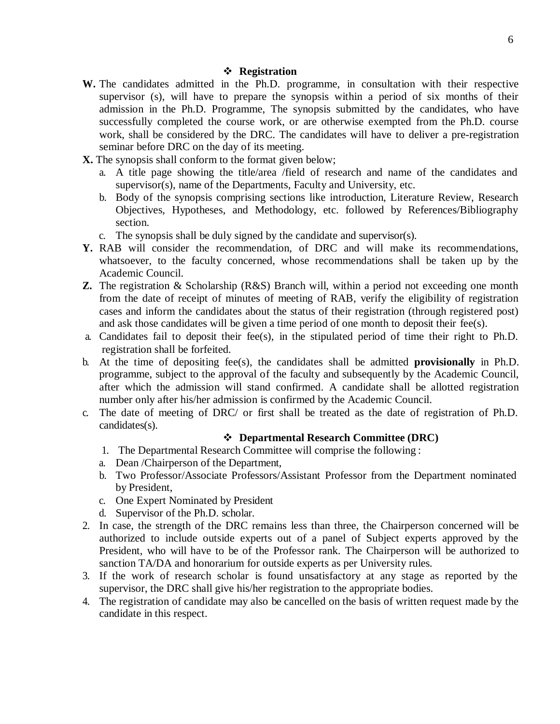- **W.** The candidates admitted in the Ph.D. programme, in consultation with their respective supervisor (s), will have to prepare the synopsis within a period of six months of their admission in the Ph.D. Programme, The synopsis submitted by the candidates, who have successfully completed the course work, or are otherwise exempted from the Ph.D. course work, shall be considered by the DRC. The candidates will have to deliver a pre-registration seminar before DRC on the day of its meeting.
- **X.** The synopsis shall conform to the format given below;
	- a. A title page showing the title/area /field of research and name of the candidates and supervisor(s), name of the Departments, Faculty and University, etc.
	- b. Body of the synopsis comprising sections like introduction, Literature Review, Research Objectives, Hypotheses, and Methodology, etc. followed by References/Bibliography section.
	- c. The synopsis shall be duly signed by the candidate and supervisor(s).
- **Y.** RAB will consider the recommendation, of DRC and will make its recommendations, whatsoever, to the faculty concerned, whose recommendations shall be taken up by the Academic Council.
- **Z.** The registration & Scholarship (R&S) Branch will, within a period not exceeding one month from the date of receipt of minutes of meeting of RAB, verify the eligibility of registration cases and inform the candidates about the status of their registration (through registered post) and ask those candidates will be given a time period of one month to deposit their fee(s).
- a. Candidates fail to deposit their fee(s), in the stipulated period of time their right to Ph.D. registration shall be forfeited.
- b. At the time of depositing fee(s), the candidates shall be admitted **provisionally** in Ph.D. programme, subject to the approval of the faculty and subsequently by the Academic Council, after which the admission will stand confirmed. A candidate shall be allotted registration number only after his/her admission is confirmed by the Academic Council.
- c. The date of meeting of DRC/ or first shall be treated as the date of registration of Ph.D. candidates(s).

# **Departmental Research Committee (DRC)**

- 1. The Departmental Research Committee will comprise the following :
- a. Dean /Chairperson of the Department,
- b. Two Professor/Associate Professors/Assistant Professor from the Department nominated by President,
- c. One Expert Nominated by President
- d. Supervisor of the Ph.D. scholar.
- 2. In case, the strength of the DRC remains less than three, the Chairperson concerned will be authorized to include outside experts out of a panel of Subject experts approved by the President, who will have to be of the Professor rank. The Chairperson will be authorized to sanction TA/DA and honorarium for outside experts as per University rules.
- 3. If the work of research scholar is found unsatisfactory at any stage as reported by the supervisor, the DRC shall give his/her registration to the appropriate bodies.
- 4. The registration of candidate may also be cancelled on the basis of written request made by the candidate in this respect.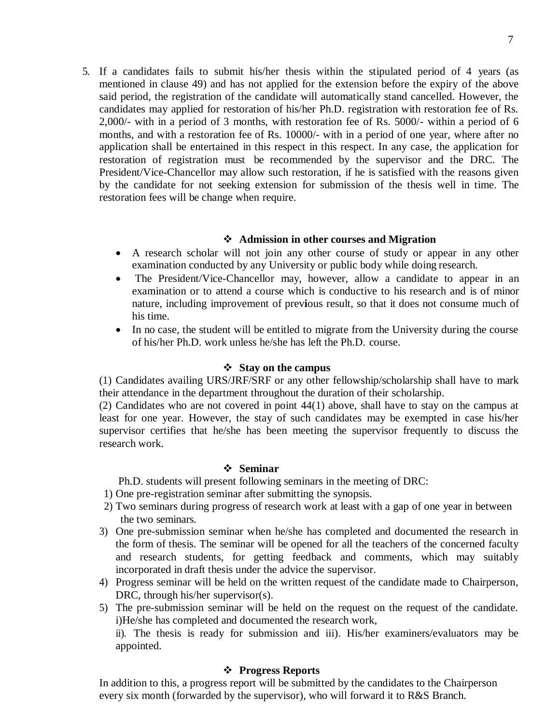5. If a candidates fails to submit his/her thesis within the stipulated period of 4 years (as mentioned in clause 49) and has not applied for the extension before the expiry of the above said period, the registration of the candidate will automatically stand cancelled. However, the candidates may applied for restoration of his/her Ph.D. registration with restoration fee of Rs. 2,000/- with in a period of 3 months, with restoration fee of Rs. 5000/- within a period of 6 months, and with a restoration fee of Rs. 10000/- with in a period of one year, where after no application shall be entertained in this respect in this respect. In any case, the application for restoration of registration must be recommended by the supervisor and the DRC. The President/Vice-Chancellor may allow such restoration, if he is satisfied with the reasons given by the candidate for not seeking extension for submission of the thesis well in time. The restoration fees will be change when require.

## **Admission in other courses and Migration**

- A research scholar will not join any other course of study or appear in any other examination conducted by any University or public body while doing research.
- The President/Vice-Chancellor may, however, allow a candidate to appear in an examination or to attend a course which is conductive to his research and is of minor nature, including improvement of prev**i**ous result, so that it does not consume much of his time.
- In no case, the student will be entitled to migrate from the University during the course of his/her Ph.D. work unless he/she has left the Ph.D. course.

#### **Stay on the campus**

(1) Candidates availing URS/JRF/SRF or any other fellowship/scholarship shall have to mark their attendance in the department throughout the duration of their scholarship.

(2) Candidates who are not covered in point 44(1) above, shall have to stay on the campus at least for one year. However, the stay of such candidates may be exempted in case his/her supervisor certifies that he/she has been meeting the supervisor frequently to discuss the research work.

#### **Seminar**

Ph.D. students will present following seminars in the meeting of DRC:

- 1) One pre-registration seminar after submitting the synopsis.
- 2) Two seminars during progress of research work at least with a gap of one year in between the two seminars.
- 3) One pre-submission seminar when he/she has completed and documented the research in the form of thesis. The seminar will be opened for all the teachers of the concerned faculty and research students, for getting feedback and comments, which may suitably incorporated in draft thesis under the advice the supervisor.
- 4) Progress seminar will be held on the written request of the candidate made to Chairperson, DRC, through his/her supervisor(s).
- 5) The pre-submission seminar will be held on the request on the request of the candidate. i)He/she has completed and documented the research work,

ii). The thesis is ready for submission and iii). His/her examiners/evaluators may be appointed.

## **Progress Reports**

In addition to this, a progress report will be submitted by the candidates to the Chairperson every six month (forwarded by the supervisor), who will forward it to R&S Branch.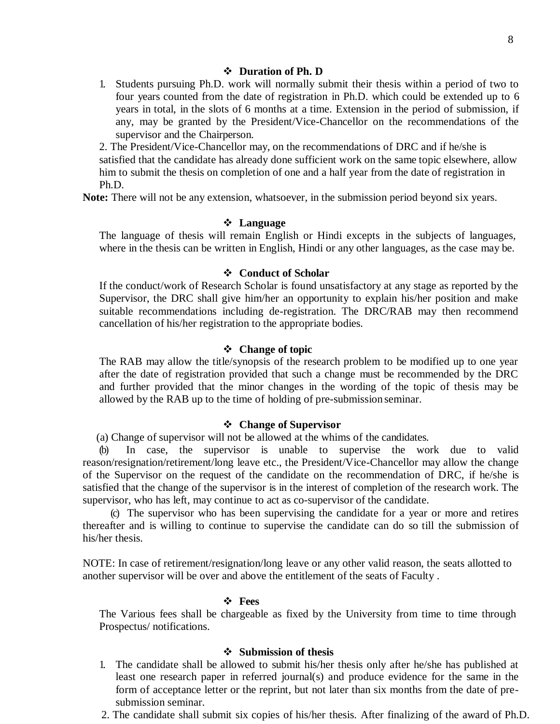#### **Duration of Ph. D**

1. Students pursuing Ph.D. work will normally submit their thesis within a period of two to four years counted from the date of registration in Ph.D. which could be extended up to 6 years in total, in the slots of 6 months at a time. Extension in the period of submission, if any, may be granted by the President/Vice-Chancellor on the recommendations of the supervisor and the Chairperson.

2. The President/Vice-Chancellor may, on the recommendations of DRC and if he/she is satisfied that the candidate has already done sufficient work on the same topic elsewhere, allow him to submit the thesis on completion of one and a half year from the date of registration in Ph.D.

**Note:** There will not be any extension, whatsoever, in the submission period beyond six years.

#### **Language**

The language of thesis will remain English or Hindi excepts in the subjects of languages, where in the thesis can be written in English, Hindi or any other languages, as the case may be.

#### **Conduct of Scholar**

If the conduct/work of Research Scholar is found unsatisfactory at any stage as reported by the Supervisor, the DRC shall give him/her an opportunity to explain his/her position and make suitable recommendations including de-registration. The DRC/RAB may then recommend cancellation of his/her registration to the appropriate bodies.

#### **Change of topic**

The RAB may allow the title/synopsis of the research problem to be modified up to one year after the date of registration provided that such a change must be recommended by the DRC and further provided that the minor changes in the wording of the topic of thesis may be allowed by the RAB up to the time of holding of pre-submission seminar.

#### **Change of Supervisor**

(a) Change of supervisor will not be allowed at the whims of the candidates.

(b) In case, the supervisor is unable to supervise the work due to valid reason/resignation/retirement/long leave etc., the President/Vice-Chancellor may allow the change of the Supervisor on the request of the candidate on the recommendation of DRC, if he/she is satisfied that the change of the supervisor is in the interest of completion of the research work. The supervisor, who has left, may continue to act as co-supervisor of the candidate.

(c) The supervisor who has been supervising the candidate for a year or more and retires thereafter and is willing to continue to supervise the candidate can do so till the submission of his/her thesis.

NOTE: In case of retirement/resignation/long leave or any other valid reason, the seats allotted to another supervisor will be over and above the entitlement of the seats of Faculty .

#### **Fees**

The Various fees shall be chargeable as fixed by the University from time to time through Prospectus/ notifications.

#### **Submission of thesis**

- 1. The candidate shall be allowed to submit his/her thesis only after he/she has published at least one research paper in referred journal(s) and produce evidence for the same in the form of acceptance letter or the reprint, but not later than six months from the date of presubmission seminar.
- 2. The candidate shall submit six copies of his/her thesis. After finalizing of the award of Ph.D.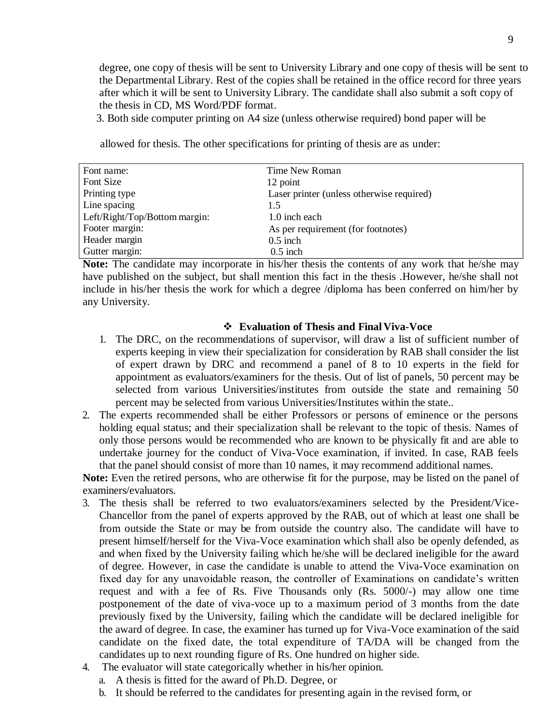degree, one copy of thesis will be sent to University Library and one copy of thesis will be sent to the Departmental Library. Rest of the copies shall be retained in the office record for three years after which it will be sent to University Library. The candidate shall also submit a soft copy of the thesis in CD, MS Word/PDF format.

3. Both side computer printing on A4 size (unless otherwise required) bond paper will be

allowed for thesis. The other specifications for printing of thesis are as under:

| Font name:                    | Time New Roman                            |
|-------------------------------|-------------------------------------------|
| Font Size                     | 12 point                                  |
| Printing type                 | Laser printer (unless otherwise required) |
| Line spacing                  | 1.5                                       |
| Left/Right/Top/Bottom margin: | 1.0 inch each                             |
| Footer margin:                | As per requirement (for footnotes)        |
| Header margin                 | $0.5$ inch                                |
| Gutter margin:                | $0.5$ inch                                |

**Note:** The candidate may incorporate in his/her thesis the contents of any work that he/she may have published on the subject, but shall mention this fact in the thesis .However, he/she shall not include in his/her thesis the work for which a degree /diploma has been conferred on him/her by any University.

#### **Evaluation of Thesis and Final Viva-Voce**

- 1. The DRC, on the recommendations of supervisor, will draw a list of sufficient number of experts keeping in view their specialization for consideration by RAB shall consider the list of expert drawn by DRC and recommend a panel of 8 to 10 experts in the field for appointment as evaluators/examiners for the thesis. Out of list of panels, 50 percent may be selected from various Universities/institutes from outside the state and remaining 50 percent may be selected from various Universities/Institutes within the state..
- 2. The experts recommended shall be either Professors or persons of eminence or the persons holding equal status; and their specialization shall be relevant to the topic of thesis. Names of only those persons would be recommended who are known to be physically fit and are able to undertake journey for the conduct of Viva-Voce examination, if invited. In case, RAB feels that the panel should consist of more than 10 names, it may recommend additional names.

Note: Even the retired persons, who are otherwise fit for the purpose, may be listed on the panel of examiners/evaluators.

- 3. The thesis shall be referred to two evaluators/examiners selected by the President/Vice-Chancellor from the panel of experts approved by the RAB, out of which at least one shall be from outside the State or may be from outside the country also. The candidate will have to present himself/herself for the Viva-Voce examination which shall also be openly defended, as and when fixed by the University failing which he/she will be declared ineligible for the award of degree. However, in case the candidate is unable to attend the Viva-Voce examination on fixed day for any unavoidable reason, the controller of Examinations on candidate's written request and with a fee of Rs. Five Thousands only (Rs. 5000/-) may allow one time postponement of the date of viva-voce up to a maximum period of 3 months from the date previously fixed by the University, failing which the candidate will be declared ineligible for the award of degree. In case, the examiner has turned up for Viva-Voce examination of the said candidate on the fixed date, the total expenditure of TA/DA will be changed from the candidates up to next rounding figure of Rs. One hundred on higher side.
- 4. The evaluator will state categorically whether in his/her opinion.
	- a. A thesis is fitted for the award of Ph.D. Degree, or
	- b. It should be referred to the candidates for presenting again in the revised form, or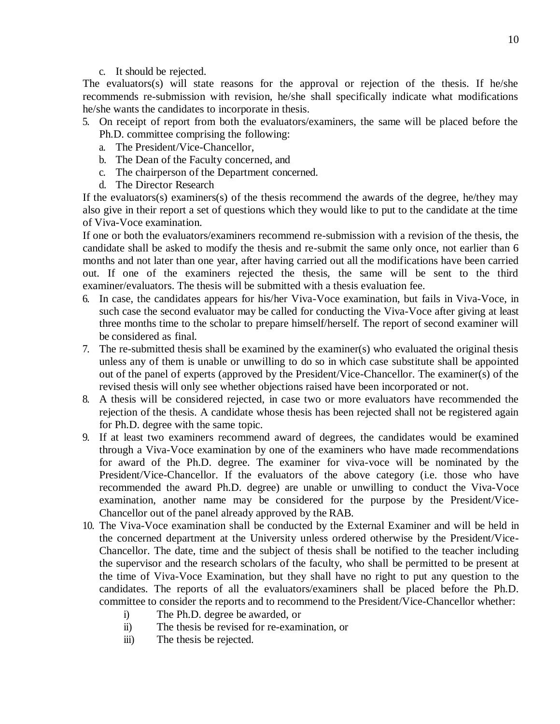c. It should be rejected.

The evaluators(s) will state reasons for the approval or rejection of the thesis. If he/she recommends re-submission with revision, he/she shall specifically indicate what modifications he/she wants the candidates to incorporate in thesis.

- 5. On receipt of report from both the evaluators/examiners, the same will be placed before the Ph.D. committee comprising the following:
	- a. The President/Vice-Chancellor,
	- b. The Dean of the Faculty concerned, and
	- c. The chairperson of the Department concerned.
	- d. The Director Research

If the evaluators(s) examiners(s) of the thesis recommend the awards of the degree, he/they may also give in their report a set of questions which they would like to put to the candidate at the time of Viva-Voce examination.

If one or both the evaluators/examiners recommend re-submission with a revision of the thesis, the candidate shall be asked to modify the thesis and re-submit the same only once, not earlier than 6 months and not later than one year, after having carried out all the modifications have been carried out. If one of the examiners rejected the thesis, the same will be sent to the third examiner/evaluators. The thesis will be submitted with a thesis evaluation fee.

- 6. In case, the candidates appears for his/her Viva-Voce examination, but fails in Viva-Voce, in such case the second evaluator may be called for conducting the Viva-Voce after giving at least three months time to the scholar to prepare himself/herself. The report of second examiner will be considered as final.
- 7. The re-submitted thesis shall be examined by the examiner(s) who evaluated the original thesis unless any of them is unable or unwilling to do so in which case substitute shall be appointed out of the panel of experts (approved by the President/Vice-Chancellor. The examiner(s) of the revised thesis will only see whether objections raised have been incorporated or not.
- 8. A thesis will be considered rejected, in case two or more evaluators have recommended the rejection of the thesis. A candidate whose thesis has been rejected shall not be registered again for Ph.D. degree with the same topic.
- 9. If at least two examiners recommend award of degrees, the candidates would be examined through a Viva-Voce examination by one of the examiners who have made recommendations for award of the Ph.D. degree. The examiner for viva-voce will be nominated by the President/Vice-Chancellor. If the evaluators of the above category (i.e. those who have recommended the award Ph.D. degree) are unable or unwilling to conduct the Viva-Voce examination, another name may be considered for the purpose by the President/Vice-Chancellor out of the panel already approved by the RAB.
- 10. The Viva-Voce examination shall be conducted by the External Examiner and will be held in the concerned department at the University unless ordered otherwise by the President/Vice-Chancellor. The date, time and the subject of thesis shall be notified to the teacher including the supervisor and the research scholars of the faculty, who shall be permitted to be present at the time of Viva-Voce Examination, but they shall have no right to put any question to the candidates. The reports of all the evaluators/examiners shall be placed before the Ph.D. committee to consider the reports and to recommend to the President/Vice-Chancellor whether:
	- i) The Ph.D. degree be awarded, or
	- ii) The thesis be revised for re-examination, or
	- iii) The thesis be rejected.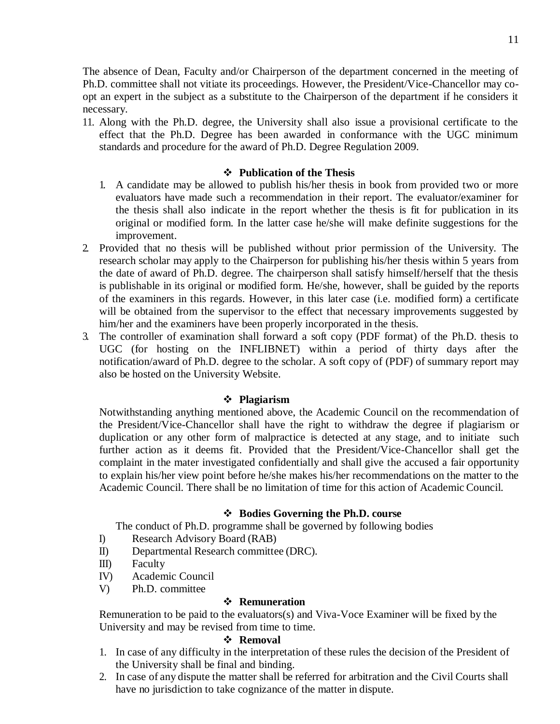The absence of Dean, Faculty and/or Chairperson of the department concerned in the meeting of Ph.D. committee shall not vitiate its proceedings. However, the President/Vice-Chancellor may coopt an expert in the subject as a substitute to the Chairperson of the department if he considers it necessary.

11. Along with the Ph.D. degree, the University shall also issue a provisional certificate to the effect that the Ph.D. Degree has been awarded in conformance with the UGC minimum standards and procedure for the award of Ph.D. Degree Regulation 2009.

## **Publication of the Thesis**

- 1. A candidate may be allowed to publish his/her thesis in book from provided two or more evaluators have made such a recommendation in their report. The evaluator/examiner for the thesis shall also indicate in the report whether the thesis is fit for publication in its original or modified form. In the latter case he/she will make definite suggestions for the improvement.
- 2. Provided that no thesis will be published without prior permission of the University. The research scholar may apply to the Chairperson for publishing his/her thesis within 5 years from the date of award of Ph.D. degree. The chairperson shall satisfy himself/herself that the thesis is publishable in its original or modified form. He/she, however, shall be guided by the reports of the examiners in this regards. However, in this later case (i.e. modified form) a certificate will be obtained from the supervisor to the effect that necessary improvements suggested by him/her and the examiners have been properly incorporated in the thesis.
- 3. The controller of examination shall forward a soft copy (PDF format) of the Ph.D. thesis to UGC (for hosting on the INFLIBNET) within a period of thirty days after the notification/award of Ph.D. degree to the scholar. A soft copy of (PDF) of summary report may also be hosted on the University Website.

# **Plagiarism**

Notwithstanding anything mentioned above, the Academic Council on the recommendation of the President/Vice-Chancellor shall have the right to withdraw the degree if plagiarism or duplication or any other form of malpractice is detected at any stage, and to initiate such further action as it deems fit. Provided that the President/Vice-Chancellor shall get the complaint in the mater investigated confidentially and shall give the accused a fair opportunity to explain his/her view point before he/she makes his/her recommendations on the matter to the Academic Council. There shall be no limitation of time for this action of Academic Council.

# **Bodies Governing the Ph.D. course**

The conduct of Ph.D. programme shall be governed by following bodies

- I) Research Advisory Board (RAB)
- II) Departmental Research committee (DRC).
- III) Faculty
- IV) Academic Council
- V) Ph.D. committee

# **❖** Remuneration

Remuneration to be paid to the evaluators(s) and Viva-Voce Examiner will be fixed by the University and may be revised from time to time.

# **Removal**

- 1. In case of any difficulty in the interpretation of these rules the decision of the President of the University shall be final and binding.
- 2. In case of any dispute the matter shall be referred for arbitration and the Civil Courts shall have no jurisdiction to take cognizance of the matter in dispute.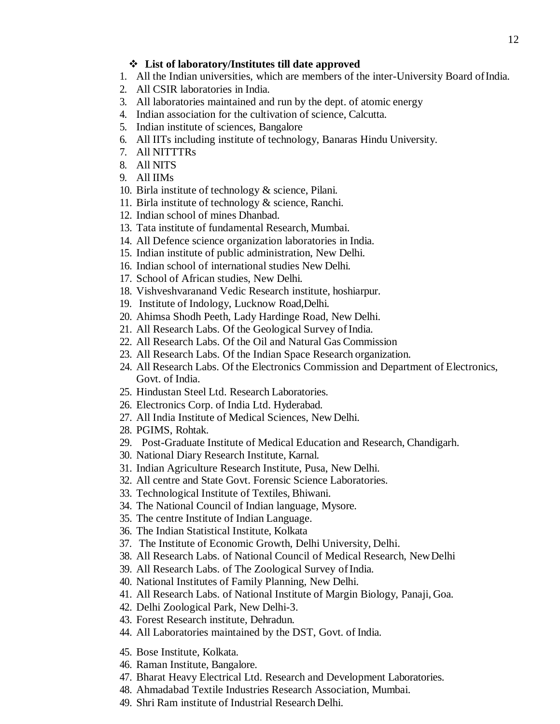## **List of laboratory/Institutes till date approved**

- 1. All the Indian universities, which are members of the inter-University Board ofIndia.
- 2. All CSIR laboratories in India.
- 3. All laboratories maintained and run by the dept. of atomic energy
- 4. Indian association for the cultivation of science, Calcutta.
- 5. Indian institute of sciences, Bangalore
- 6. All IITs including institute of technology, Banaras Hindu University.
- 7. All NITTTRs
- 8. All NITS
- 9. All IIMs
- 10. Birla institute of technology & science, Pilani.
- 11. Birla institute of technology & science, Ranchi.
- 12. Indian school of mines Dhanbad.
- 13. Tata institute of fundamental Research, Mumbai.
- 14. All Defence science organization laboratories in India.
- 15. Indian institute of public administration, New Delhi.
- 16. Indian school of international studies New Delhi.
- 17. School of African studies, New Delhi.
- 18. Vishveshvaranand Vedic Research institute, hoshiarpur.
- 19. Institute of Indology, Lucknow Road,Delhi.
- 20. Ahimsa Shodh Peeth, Lady Hardinge Road, New Delhi.
- 21. All Research Labs. Of the Geological Survey of India.
- 22. All Research Labs. Of the Oil and Natural Gas Commission
- 23. All Research Labs. Of the Indian Space Research organization.
- 24. All Research Labs. Of the Electronics Commission and Department of Electronics, Govt. of India.
- 25. Hindustan Steel Ltd. Research Laboratories.
- 26. Electronics Corp. of India Ltd. Hyderabad.
- 27. All India Institute of Medical Sciences, New Delhi.
- 28. PGIMS, Rohtak.
- 29. Post-Graduate Institute of Medical Education and Research, Chandigarh.
- 30. National Diary Research Institute, Karnal.
- 31. Indian Agriculture Research Institute, Pusa, New Delhi.
- 32. All centre and State Govt. Forensic Science Laboratories.
- 33. Technological Institute of Textiles, Bhiwani.
- 34. The National Council of Indian language, Mysore.
- 35. The centre Institute of Indian Language.
- 36. The Indian Statistical Institute, Kolkata
- 37. The Institute of Economic Growth, Delhi University, Delhi.
- 38. All Research Labs. of National Council of Medical Research, NewDelhi
- 39. All Research Labs. of The Zoological Survey of India.
- 40. National Institutes of Family Planning, New Delhi.
- 41. All Research Labs. of National Institute of Margin Biology, Panaji, Goa.
- 42. Delhi Zoological Park, New Delhi-3.
- 43. Forest Research institute, Dehradun.
- 44. All Laboratories maintained by the DST, Govt. of India.
- 45. Bose Institute, Kolkata.
- 46. Raman Institute, Bangalore.
- 47. Bharat Heavy Electrical Ltd. Research and Development Laboratories.
- 48. Ahmadabad Textile Industries Research Association, Mumbai.
- 49. Shri Ram institute of Industrial Research Delhi.